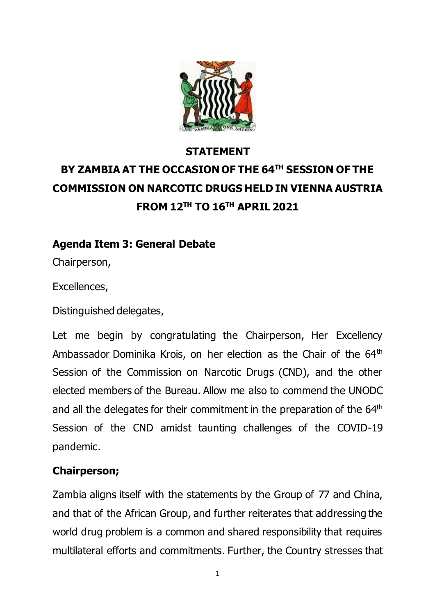

# **STATEMENT BY ZAMBIA AT THE OCCASION OF THE 64TH SESSION OF THE COMMISSION ON NARCOTIC DRUGS HELD IN VIENNA AUSTRIA FROM 12TH TO 16 TH APRIL 2021**

## **Agenda Item 3: General Debate**

Chairperson,

Excellences,

Distinguished delegates,

Let me begin by congratulating the Chairperson, Her Excellency Ambassador Dominika Krois, on her election as the Chair of the 64<sup>th</sup> Session of the Commission on Narcotic Drugs (CND), and the other elected members of the Bureau. Allow me also to commend the UNODC and all the delegates for their commitment in the preparation of the 64<sup>th</sup> Session of the CND amidst taunting challenges of the COVID-19 pandemic.

## **Chairperson;**

Zambia aligns itself with the statements by the Group of 77 and China, and that of the African Group, and further reiterates that addressing the world drug problem is a common and shared responsibility that requires multilateral efforts and commitments. Further, the Country stresses that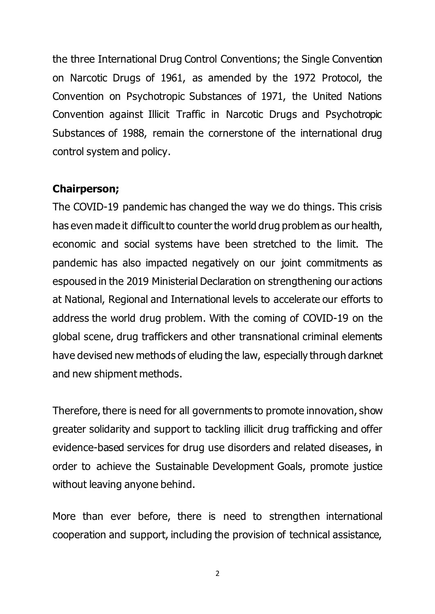the three International Drug Control Conventions; the Single Convention on Narcotic Drugs of 1961, as amended by the 1972 Protocol, the Convention on Psychotropic Substances of 1971, the United Nations Convention against Illicit Traffic in Narcotic Drugs and Psychotropic Substances of 1988, remain the cornerstone of the international drug control system and policy.

#### **Chairperson;**

The COVID-19 pandemic has changed the way we do things. This crisis has even made it difficult to counter the world drug problem as our health, economic and social systems have been stretched to the limit. The pandemic has also impacted negatively on our joint commitments as espoused in the 2019 Ministerial Declaration on strengthening our actions at National, Regional and International levels to accelerate our efforts to address the world drug problem. With the coming of COVID-19 on the global scene, drug traffickers and other transnational criminal elements have devised new methods of eluding the law, especially through darknet and new shipment methods.

Therefore, there is need for all governments to promote innovation, show greater solidarity and support to tackling illicit drug trafficking and offer evidence-based services for drug use disorders and related diseases, in order to achieve the Sustainable Development Goals, promote justice without leaving anyone behind.

More than ever before, there is need to strengthen international cooperation and support, including the provision of technical assistance,

2